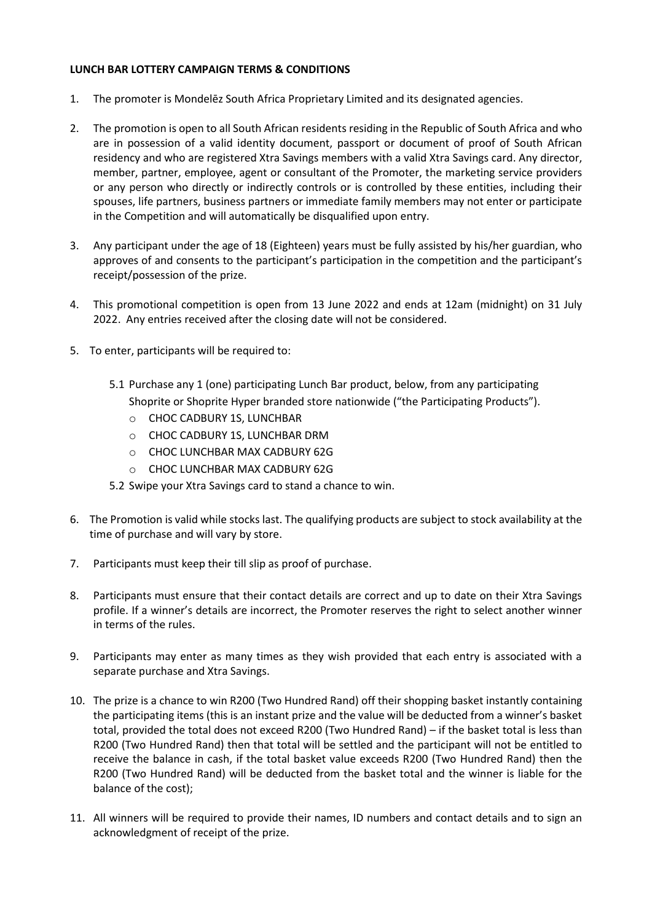## **LUNCH BAR LOTTERY CAMPAIGN TERMS & CONDITIONS**

- 1. The promoter is Mondelēz South Africa Proprietary Limited and its designated agencies.
- 2. The promotion is open to all South African residents residing in the Republic of South Africa and who are in possession of a valid identity document, passport or document of proof of South African residency and who are registered Xtra Savings members with a valid Xtra Savings card. Any director, member, partner, employee, agent or consultant of the Promoter, the marketing service providers or any person who directly or indirectly controls or is controlled by these entities, including their spouses, life partners, business partners or immediate family members may not enter or participate in the Competition and will automatically be disqualified upon entry.
- 3. Any participant under the age of 18 (Eighteen) years must be fully assisted by his/her guardian, who approves of and consents to the participant's participation in the competition and the participant's receipt/possession of the prize.
- 4. This promotional competition is open from 13 June 2022 and ends at 12am (midnight) on 31 July 2022. Any entries received after the closing date will not be considered.
- 5. To enter, participants will be required to:
	- 5.1 Purchase any 1 (one) participating Lunch Bar product, below, from any participating Shoprite or Shoprite Hyper branded store nationwide ("the Participating Products").
		- o CHOC CADBURY 1S, LUNCHBAR
		- o CHOC CADBURY 1S, LUNCHBAR DRM
		- o CHOC LUNCHBAR MAX CADBURY 62G
		- o CHOC LUNCHBAR MAX CADBURY 62G
	- 5.2 Swipe your Xtra Savings card to stand a chance to win.
- 6. The Promotion is valid while stocks last. The qualifying products are subject to stock availability at the time of purchase and will vary by store.
- 7. Participants must keep their till slip as proof of purchase.
- 8. Participants must ensure that their contact details are correct and up to date on their Xtra Savings profile. If a winner's details are incorrect, the Promoter reserves the right to select another winner in terms of the rules.
- 9. Participants may enter as many times as they wish provided that each entry is associated with a separate purchase and Xtra Savings.
- 10. The prize is a chance to win R200 (Two Hundred Rand) off their shopping basket instantly containing the participating items (this is an instant prize and the value will be deducted from a winner's basket total, provided the total does not exceed R200 (Two Hundred Rand) – if the basket total is less than R200 (Two Hundred Rand) then that total will be settled and the participant will not be entitled to receive the balance in cash, if the total basket value exceeds R200 (Two Hundred Rand) then the R200 (Two Hundred Rand) will be deducted from the basket total and the winner is liable for the balance of the cost);
- 11. All winners will be required to provide their names, ID numbers and contact details and to sign an acknowledgment of receipt of the prize.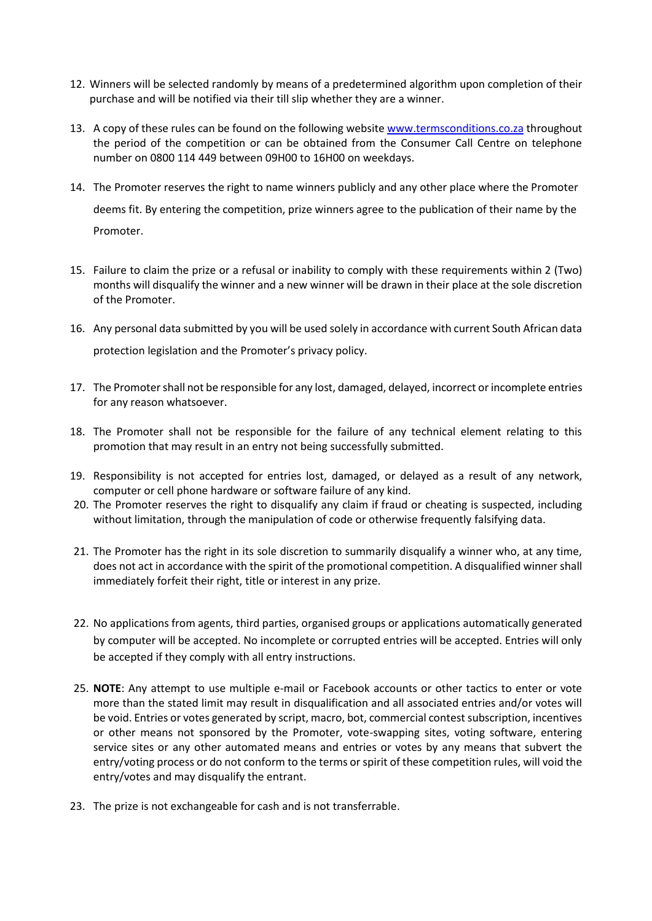- 12. Winners will be selected randomly by means of a predetermined algorithm upon completion of their purchase and will be notified via their till slip whether they are a winner.
- 13. A copy of these rules can be found on the following website [www.termsconditions.co.za](http://www.termsconditions.co.za/) throughout the period of the competition or can be obtained from the Consumer Call Centre on telephone number on 0800 114 449 between 09H00 to 16H00 on weekdays.
- 14. The Promoter reserves the right to name winners publicly and any other place where the Promoter deems fit. By entering the competition, prize winners agree to the publication of their name by the Promoter.
- 15. Failure to claim the prize or a refusal or inability to comply with these requirements within 2 (Two) months will disqualify the winner and a new winner will be drawn in their place at the sole discretion of the Promoter.
- 16. Any personal data submitted by you will be used solely in accordance with current South African data protection legislation and the Promoter's privacy policy.
- 17. The Promoter shall not be responsible for any lost, damaged, delayed, incorrect or incomplete entries for any reason whatsoever.
- 18. The Promoter shall not be responsible for the failure of any technical element relating to this promotion that may result in an entry not being successfully submitted.
- 19. Responsibility is not accepted for entries lost, damaged, or delayed as a result of any network, computer or cell phone hardware or software failure of any kind.
- 20. The Promoter reserves the right to disqualify any claim if fraud or cheating is suspected, including without limitation, through the manipulation of code or otherwise frequently falsifying data.
- 21. The Promoter has the right in its sole discretion to summarily disqualify a winner who, at any time, does not act in accordance with the spirit of the promotional competition. A disqualified winner shall immediately forfeit their right, title or interest in any prize.
- 22. No applications from agents, third parties, organised groups or applications automatically generated by computer will be accepted. No incomplete or corrupted entries will be accepted. Entries will only be accepted if they comply with all entry instructions.
- 25. **NOTE**: Any attempt to use multiple e-mail or Facebook accounts or other tactics to enter or vote more than the stated limit may result in disqualification and all associated entries and/or votes will be void. Entries or votes generated by script, macro, bot, commercial contest subscription, incentives or other means not sponsored by the Promoter, vote-swapping sites, voting software, entering service sites or any other automated means and entries or votes by any means that subvert the entry/voting process or do not conform to the terms or spirit of these competition rules, will void the entry/votes and may disqualify the entrant.
- 23. The prize is not exchangeable for cash and is not transferrable.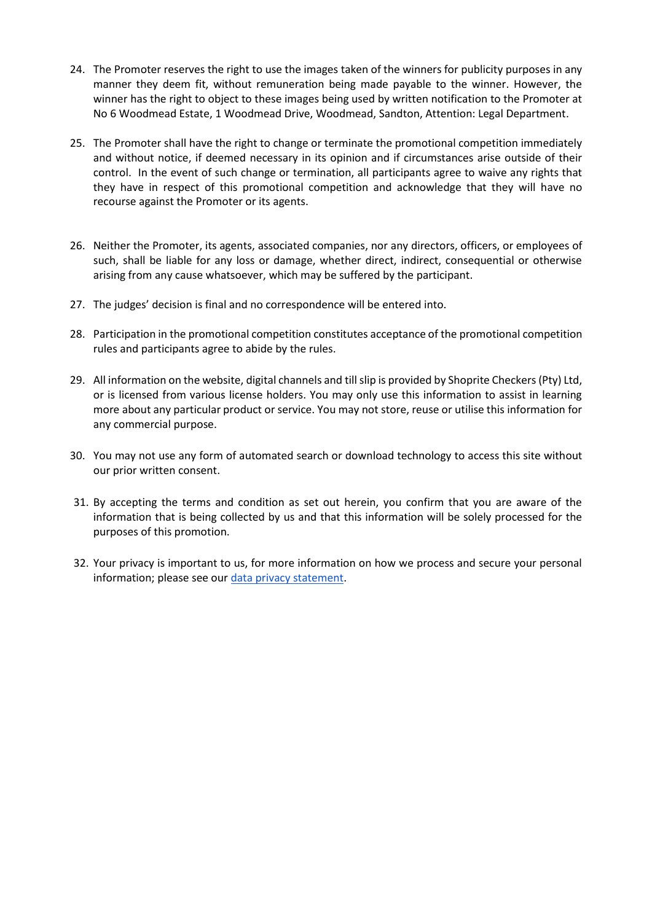- 24. The Promoter reserves the right to use the images taken of the winners for publicity purposes in any manner they deem fit, without remuneration being made payable to the winner. However, the winner has the right to object to these images being used by written notification to the Promoter at No 6 Woodmead Estate, 1 Woodmead Drive, Woodmead, Sandton, Attention: Legal Department.
- 25. The Promoter shall have the right to change or terminate the promotional competition immediately and without notice, if deemed necessary in its opinion and if circumstances arise outside of their control. In the event of such change or termination, all participants agree to waive any rights that they have in respect of this promotional competition and acknowledge that they will have no recourse against the Promoter or its agents.
- 26. Neither the Promoter, its agents, associated companies, nor any directors, officers, or employees of such, shall be liable for any loss or damage, whether direct, indirect, consequential or otherwise arising from any cause whatsoever, which may be suffered by the participant.
- 27. The judges' decision is final and no correspondence will be entered into.
- 28. Participation in the promotional competition constitutes acceptance of the promotional competition rules and participants agree to abide by the rules.
- 29. All information on the website, digital channels and till slip is provided by Shoprite Checkers (Pty) Ltd, or is licensed from various license holders. You may only use this information to assist in learning more about any particular product or service. You may not store, reuse or utilise this information for any commercial purpose.
- 30. You may not use any form of automated search or download technology to access this site without our prior written consent.
- 31. By accepting the terms and condition as set out herein, you confirm that you are aware of the information that is being collected by us and that this information will be solely processed for the purposes of this promotion.
- 32. Your privacy is important to us, for more information on how we process and secure your personal information; please see ou[r data privacy statement.](https://www.shoprite.co.za/privacyPolicy)